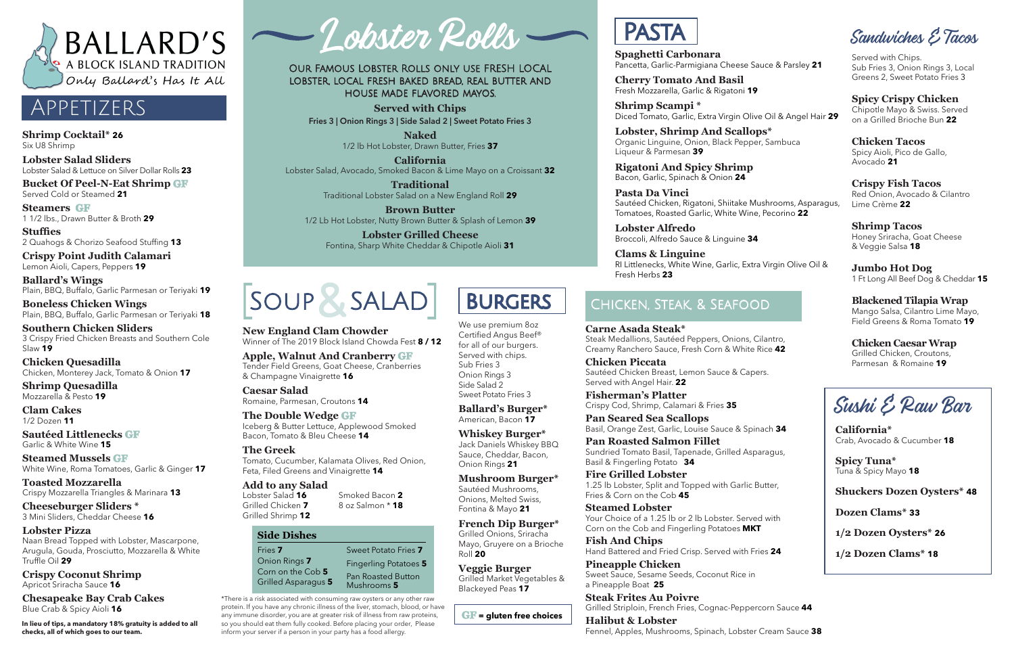

## Appetizers

**Shrimp Cocktail\* 26** Six U8 Shrimp

**Lobster Salad Sliders**  Lobster Salad & Lettuce on Silver Dollar Rolls **23**

**Bucket Of Peel-N-Eat Shrimp GF** Served Cold or Steamed **21**

**Steamers GF** 1 1/2 lbs., Drawn Butter & Broth **29**

**Stuffies**  2 Quahogs & Chorizo Seafood Stuffing **13**

**Crispy Point Judith Calamari**  Lemon Aioli, Capers, Peppers **19**

**Ballard's Wings**  Plain, BBQ, Buffalo, Garlic Parmesan or Teriyaki **19**

**Boneless Chicken Wings**  Plain, BBQ, Buffalo, Garlic Parmesan or Teriyaki **18**

**Southern Chicken Sliders**  3 Crispy Fried Chicken Breasts and Southern Cole Slaw **19**

**Chicken Quesadilla**  Chicken, Monterey Jack, Tomato & Onion **17**

**Shrimp Quesadilla**  Mozzarella & Pesto **19**

**Clam Cakes** 1/2 Dozen **11**

**Sautéed Littlenecks GF** Garlic & White Wine **15**

**Steamed Mussels GF** White Wine, Roma Tomatoes, Garlic & Ginger **17**

**Toasted Mozzarella**  Crispy Mozzarella Triangles & Marinara **13**

**Cheeseburger Sliders \***  3 Mini Sliders, Cheddar Cheese **16**

**Lobster Pizza**  Naan Bread Topped with Lobster, Mascarpone, Arugula, Gouda, Prosciutto, Mozzarella & White Truffle Oil **29**

**Crispy Coconut Shrimp**  Apricot Sriracha Sauce **16**

**Chesapeake Bay Crab Cakes** Blue Crab & Spicy Aioli **16**

**Spaghetti Carbonara** Pancetta, Garlic-Parmigiana Cheese Sauce & Parsley **21**

**Cherry Tomato And Basil** Fresh Mozzarella, Garlic & Rigatoni **19**

**Shrimp Scampi \***  Diced Tomato, Garlic, Extra Virgin Olive Oil & Angel Hair **29**

**Lobster, Shrimp And Scallops\***  Organic Linguine, Onion, Black Pepper, Sambuca Liqueur & Parmesan **39**

**Rigatoni And Spicy Shrimp** Bacon, Garlic, Spinach & Onion **24**

**Pasta Da Vinci** Sautéed Chicken, Rigatoni, Shiitake Mushrooms, Asparagus, Tomatoes, Roasted Garlic, White Wine, Pecorino **22**

**Lobster Alfredo** Broccoli, Alfredo Sauce & Linguine **34**

**Clams & Linguine** RI Littlenecks, White Wine, Garlic, Extra Virgin Olive Oil & Fresh Herbs **23**

Sandwiches & Tacos

Served with Chips. Sub Fries 3, Onion Rings 3, Local Greens 2, Sweet Potato Fries 3

## **Spicy Crispy Chicken**

Chipotle Mayo & Swiss. Served on a Grilled Brioche Bun **22**

### **Chicken Tacos**

Spicy Aioli, Pico de Gallo, Avocado **21**

#### **Crispy Fish Tacos**  Red Onion, Avocado & Cilantro Lime Crème **22**

**Shrimp Tacos**  Honey Sriracha, Goat Cheese & Veggie Salsa **18**

#### **Jumbo Hot Dog**  1 Ft Long All Beef Dog & Cheddar **15**

**Blackened Tilapia Wrap**  Mango Salsa, Cilantro Lime Mayo, Field Greens & Roma Tomato **19**

#### **Chicken Caesar Wrap** Grilled Chicken, Croutons,

Parmesan & Romaine **19**

Our Famous Lobster Rolls only use FRESH LOCAL lobster, local fresh baked bread, real butter and house made flavored mayos.

**Served with Chips Fries 3 | Onion Rings 3 | Side Salad 2 | Sweet Potato Fries 3**

> **Naked** 1/2 lb Hot Lobster, Drawn Butter, Fries **37**

**California** Lobster Salad, Avocado, Smoked Bacon & Lime Mayo on a Croissant **32**

> **Traditional** Traditional Lobster Salad on a New England Roll **29**

**Brown Butter** 1/2 Lb Hot Lobster, Nutty Brown Butter & Splash of Lemon **39**

**Lobster Grilled Cheese** Fontina, Sharp White Cheddar & Chipotle Aioli **31**



\*There is a risk associated with consuming raw oysters or any other raw protein. If you have any chronic illness of the liver, stomach, blood, or have any immune disorder, you are at greater risk of illness from raw proteins, so you should eat them fully cooked. Before placing your order, Please inform your server if a person in your party has a food allergy.

Smoked Bacon **2** 8 oz Salmon \* **18**

**New England Clam Chowder**  Winner of The 2019 Block Island Chowda Fest **8 / 12**

**Apple, Walnut And Cranberry GF** Tender Field Greens, Goat Cheese, Cranberries & Champagne Vinaigrette **16**

Lobster Salad **16**  Grilled Chicken **7** Grilled Shrimp **12 Add to any Salad**

**Caesar Salad**  Romaine, Parmesan, Croutons **14**

**The Double Wedge GF** Iceberg & Butter Lettuce, Applewood Smoked Bacon, Tomato & Bleu Cheese **14**

**The Greek** Tomato, Cucumber, Kalamata Olives, Red Onion, Feta, Filed Greens and Vinaigrette **14**

| <b>Side Dishes</b>                       |                                          |
|------------------------------------------|------------------------------------------|
| Fries 7                                  | Sweet Potato Fries 7                     |
| Onion Rings 7                            | <b>Fingerling Potatoes 5</b>             |
| Corn on the Cob 5<br>Grilled Asparagus 5 | <b>Pan Roasted Button</b><br>Mushrooms 5 |



We use premium 8oz Certified Angus Beef® for all of our burgers. Served with chips. Sub Fries 3 Onion Rings 3 Side Salad 2 Sweet Potato Fries 3

**Ballard's Burger\***  American, Bacon **17** 

**Whiskey Burger\***  Jack Daniels Whiskey BBQ Sauce, Cheddar, Bacon, Onion Rings **21**

**Mushroom Burger\***  Sautéed Mushrooms, Onions, Melted Swiss, Fontina & Mayo **21**

**French Dip Burger\***  Grilled Onions, Sriracha Mayo, Gruyere on a Brioche Roll **20**

**Veggie Burger** Grilled Market Vegetables & Blackeyed Peas **17**

**GF = gluten free choices**

# **PASTA**

## Chicken, Steak, & Seafood

**Carne Asada Steak\***

Steak Medallions, Sautéed Peppers, Onions, Cilantro, Creamy Ranchero Sauce, Fresh Corn & White Rice **42**

**Chicken Piccata**  Sautéed Chicken Breast, Lemon Sauce & Capers. Served with Angel Hair. **22**

**Fisherman's Platter** Crispy Cod, Shrimp, Calamari & Fries **35**

**Pan Seared Sea Scallops** Basil, Orange Zest, Garlic, Louise Sauce & Spinach **34**

**Pan Roasted Salmon Fillet** Sundried Tomato Basil, Tapenade, Grilled Asparagus, Basil & Fingerling Potato **34**

**Fire Grilled Lobster** 1.25 lb Lobster, Split and Topped with Garlic Butter, Fries & Corn on the Cob **45**

**Steamed Lobster** Your Choice of a 1.25 lb or 2 lb Lobster. Served with Corn on the Cob and Fingerling Potatoes **MKT**

**Fish And Chips** Hand Battered and Fried Crisp. Served with Fries **24**

**Pineapple Chicken** Sweet Sauce, Sesame Seeds, Coconut Rice in a Pineapple Boat **25**

**Steak Frites Au Poivre** Grilled Striploin, French Fries, Cognac-Peppercorn Sauce **44**

## **Halibut & Lobster**

Fennel, Apples, Mushrooms, Spinach, Lobster Cream Sauce **38**

Sushi & Raw Bar

**California\*** Crab, Avocado & Cucumber **18**

**Spicy Tuna\*** Tuna & Spicy Mayo **18**

**Shuckers Dozen Oysters\* 48**

**Dozen Clams\* 33**

**1/2 Dozen Oysters\* 26**

**1/2 Dozen Clams\* 18**

**In lieu of tips, a mandatory 18% gratuity is added to all checks, all of which goes to our team.**

| - Lobster Rolls - |  |
|-------------------|--|
|-------------------|--|